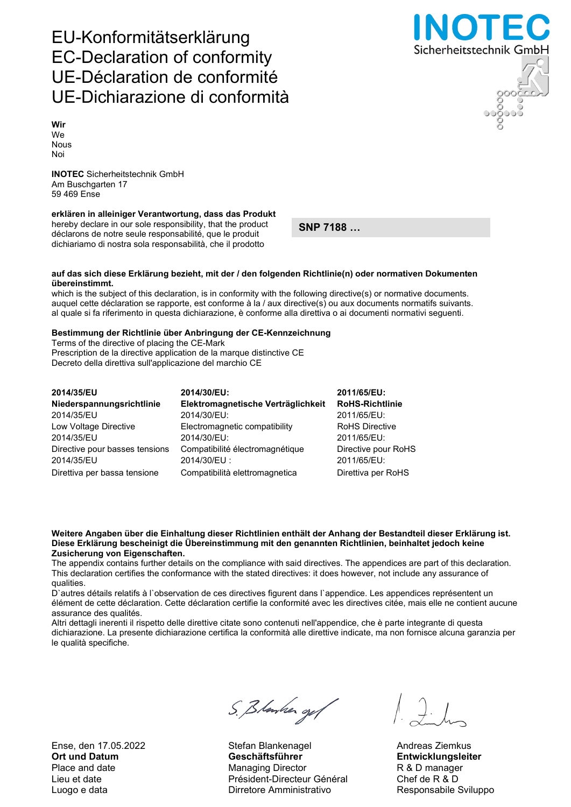Ense, den 17.05.2022 Stefan Blankenagel Andreas Ziemkus

# S. Blanker og f

Ort und Datum Geschäftsführer Entwicklungsleiter Place and date **Managing Director** R & D manager Lieu et date Président-Directeur Général Chef de R & D Luogo e data **Nicolas Construction Construction Construction** Responsabile Sviluppo

Sicherheitstechnik GmbH

## EU-Konformitätserklärung EC-Declaration of conformity UE-Déclaration de conformité UE-Dichiarazione di conformità

Wir We Nous Noi

INOTEC Sicherheitstechnik GmbH Am Buschgarten 17 59 469 Ense

### erklären in alleiniger Verantwortung, dass das Produkt

hereby declare in our sole responsibility, that the product déclarons de notre seule responsabilité, que le produit dichiariamo di nostra sola responsabilità, che il prodotto

SNP 7188 …

#### auf das sich diese Erklärung bezieht, mit der / den folgenden Richtlinie(n) oder normativen Dokumenten übereinstimmt.

which is the subject of this declaration, is in conformity with the following directive(s) or normative documents. auquel cette déclaration se rapporte, est conforme à la / aux directive(s) ou aux documents normatifs suivants. al quale si fa riferimento in questa dichiarazione, è conforme alla direttiva o ai documenti normativi seguenti.

#### Bestimmung der Richtlinie über Anbringung der CE-Kennzeichnung

Terms of the directive of placing the CE-Mark Prescription de la directive application de la marque distinctive CE Decreto della direttiva sull'applicazione del marchio CE

| 2014/35/EU                     | 2014/30/EU:                        | 2011/65/EU:            |
|--------------------------------|------------------------------------|------------------------|
| Niederspannungsrichtlinie      | Elektromagnetische Verträglichkeit | <b>RoHS-Richtlinie</b> |
| 2014/35/EU                     | 2014/30/EU:                        | 2011/65/EU:            |
| Low Voltage Directive          | Electromagnetic compatibility      | <b>RoHS Directive</b>  |
| 2014/35/EU                     | 2014/30/EU:                        | 2011/65/EU:            |
| Directive pour basses tensions | Compatibilité électromagnétique    | Directive pour RoHS    |
| 2014/35/EU                     | 2014/30/EU:                        | 2011/65/EU:            |
| Direttiva per bassa tensione   | Compatibilità elettromagnetica     | Direttiva per RoHS     |

#### Weitere Angaben über die Einhaltung dieser Richtlinien enthält der Anhang der Bestandteil dieser Erklärung ist. Diese Erklärung bescheinigt die Übereinstimmung mit den genannten Richtlinien, beinhaltet jedoch keine Zusicherung von Eigenschaften.

The appendix contains further details on the compliance with said directives. The appendices are part of this declaration. This declaration certifies the conformance with the stated directives: it does however, not include any assurance of qualities.

D`autres détails relatifs à l`observation de ces directives figurent dans l`appendice. Les appendices représentent un élément de cette déclaration. Cette déclaration certifie la conformité avec les directives citée, mais elle ne contient aucune assurance des qualités.

Altri dettagli inerenti il rispetto delle direttive citate sono contenuti nell'appendice, che è parte integrante di questa dichiarazione. La presente dichiarazione certifica la conformità alle direttive indicate, ma non fornisce alcuna garanzia per le qualità specifiche.